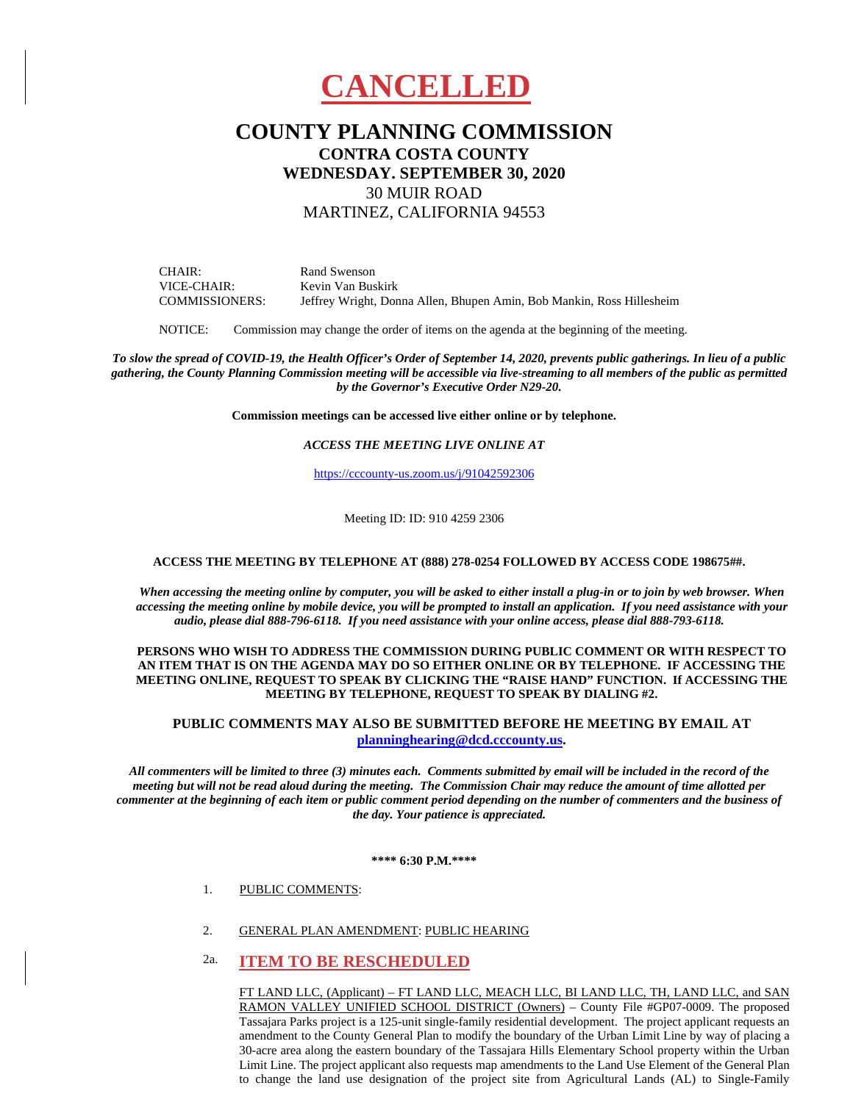

# **COUNTY PLANNING COMMISSION CONTRA COSTA COUNTY WEDNESDAY. SEPTEMBER 30, 2020** 30 MUIR ROAD MARTINEZ, CALIFORNIA 94553

CHAIR: VICE-CHAIR: COMMISSIONERS: Rand Swenson Kevin Van Buskirk Jeffrey Wright, Donna Allen, Bhupen Amin, Bob Mankin, Ross Hillesheim

NOTICE: Commission may change the order of items on the agenda at the beginning of the meeting.

*To slow the spread of COVID-19, the Health Officer's Order of September 14, 2020, prevents public gatherings. In lieu of a public gathering, the County Planning Commission meeting will be accessible via live-streaming to all members of the public as permitted by the Governor's Executive Order N29-20.* 

**Commission meetings can be accessed live either online or by telephone.**

### *ACCESS THE MEETING LIVE ONLINE AT*

[https://cccounty-us.zoom.us/j/91042592306](https://gcc01.safelinks.protection.outlook.com/?url=https%3A%2F%2Fcccounty-us.zoom.us%2Fj%2F91042592306&data=02%7C01%7CHiliana.Li%40dcd.cccounty.us%7C74cf8021d20a450d0fbb08d85bf1acb6%7C76c13a07612f4e06a2f4783d69dc4cdb%7C0%7C0%7C637360440834744507&sdata=gPDbz%2FHQK87li7HGDSLoHKFB%2Bjz3FwFwUcOB8h2Ur4o%3D&reserved=0)

Meeting ID: ID: 910 4259 2306

#### **ACCESS THE MEETING BY TELEPHONE AT (888) 278-0254 FOLLOWED BY ACCESS CODE 198675##.**

*When accessing the meeting online by computer, you will be asked to either install a plug-in or to join by web browser. When accessing the meeting online by mobile device, you will be prompted to install an application. If you need assistance with your audio, please dial 888-796-6118. If you need assistance with your online access, please dial 888-793-6118.*

#### **PERSONS WHO WISH TO ADDRESS THE COMMISSION DURING PUBLIC COMMENT OR WITH RESPECT TO AN ITEM THAT IS ON THE AGENDA MAY DO SO EITHER ONLINE OR BY TELEPHONE. IF ACCESSING THE MEETING ONLINE, REQUEST TO SPEAK BY CLICKING THE "RAISE HAND" FUNCTION. If ACCESSING THE MEETING BY TELEPHONE, REQUEST TO SPEAK BY DIALING #2.**

## **PUBLIC COMMENTS MAY ALSO BE SUBMITTED BEFORE HE MEETING BY EMAIL AT [planninghearing@dcd.cccounty.us.](mailto:planninghearing@dcd.cccounty.us)**

*All commenters will be limited to three (3) minutes each. Comments submitted by email will be included in the record of the meeting but will not be read aloud during the meeting. The Commission Chair may reduce the amount of time allotted per commenter at the beginning of each item or public comment period depending on the number of commenters and the business of the day. Your patience is appreciated.*

**\*\*\*\* 6:30 P.M.\*\*\*\***

- 1. PUBLIC COMMENTS:
- 2. GENERAL PLAN AMENDMENT: PUBLIC HEARING

# 2a. **ITEM TO BE RESCHEDULED**

FT LAND LLC, (Applicant) – FT LAND LLC, MEACH LLC, BI LAND LLC, TH, LAND LLC, and SAN RAMON VALLEY UNIFIED SCHOOL DISTRICT (Owners) – County File #GP07-0009. The proposed Tassajara Parks project is a 125-unit single-family residential development. The project applicant requests an amendment to the County General Plan to modify the boundary of the Urban Limit Line by way of placing a 30-acre area along the eastern boundary of the Tassajara Hills Elementary School property within the Urban Limit Line. The project applicant also requests map amendments to the Land Use Element of the General Plan to change the land use designation of the project site from Agricultural Lands (AL) to Single-Family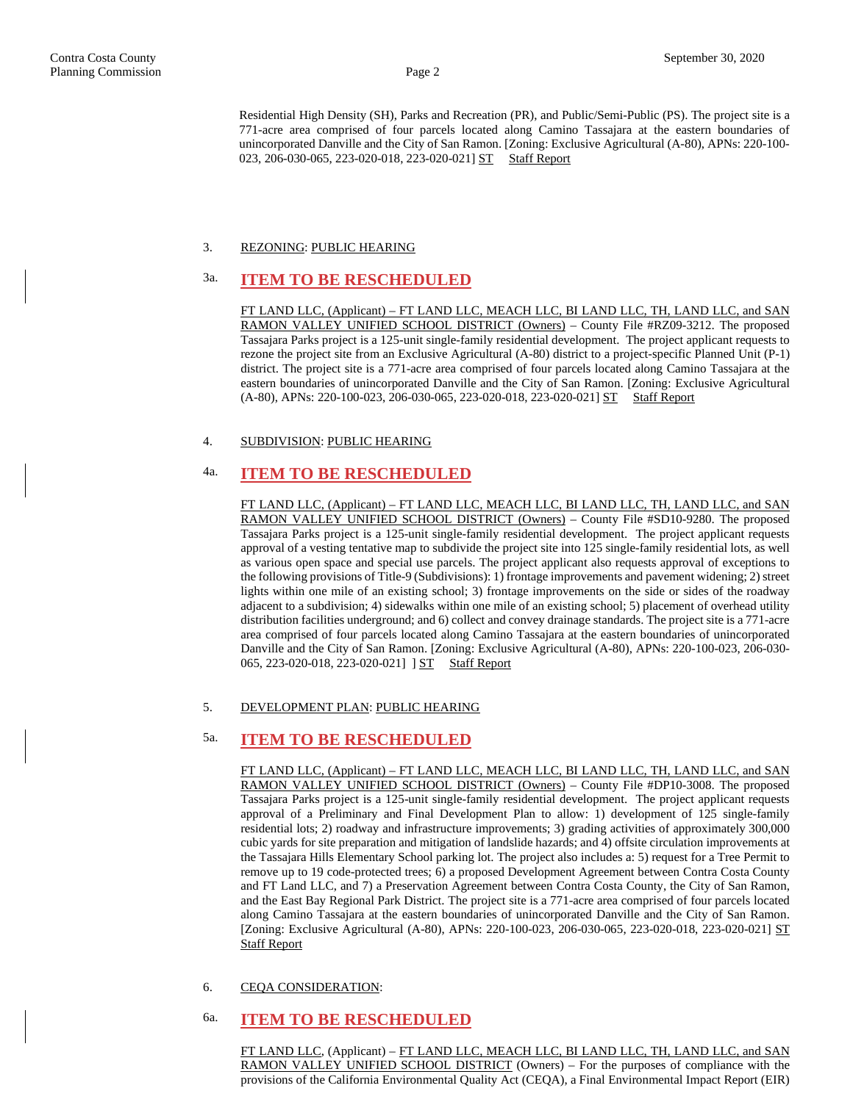Residential High Density (SH), Parks and Recreation (PR), and Public/Semi-Public (PS). The project site is a 771-acre area comprised of four parcels located along Camino Tassajara at the eastern boundaries of unincorporated Danville and the City of San Ramon. [Zoning: Exclusive Agricultural (A-80), APNs: 220-100- 023, 206-030-065, 223-020-018, 223-020-021] ST Staff Report

### 3. REZONING: PUBLIC HEARING

# 3a. **ITEM TO BE RESCHEDULED**

FT LAND LLC, (Applicant) – FT LAND LLC, MEACH LLC, BI LAND LLC, TH, LAND LLC, and SAN RAMON VALLEY UNIFIED SCHOOL DISTRICT (Owners) – County File #RZ09-3212. The proposed Tassajara Parks project is a 125-unit single-family residential development. The project applicant requests to rezone the project site from an Exclusive Agricultural (A-80) district to a project-specific Planned Unit (P-1) district. The project site is a 771-acre area comprised of four parcels located along Camino Tassajara at the eastern boundaries of unincorporated Danville and the City of San Ramon. [Zoning: Exclusive Agricultural (A-80), APNs: 220-100-023, 206-030-065, 223-020-018, 223-020-021] ST Staff Report

### 4. SUBDIVISION: PUBLIC HEARING

# 4a. **ITEM TO BE RESCHEDULED**

FT LAND LLC, (Applicant) – FT LAND LLC, MEACH LLC, BI LAND LLC, TH, LAND LLC, and SAN RAMON VALLEY UNIFIED SCHOOL DISTRICT (Owners) – County File #SD10-9280. The proposed Tassajara Parks project is a 125-unit single-family residential development. The project applicant requests approval of a vesting tentative map to subdivide the project site into 125 single-family residential lots, as well as various open space and special use parcels. The project applicant also requests approval of exceptions to the following provisions of Title-9 (Subdivisions): 1) frontage improvements and pavement widening; 2) street lights within one mile of an existing school; 3) frontage improvements on the side or sides of the roadway adjacent to a subdivision; 4) sidewalks within one mile of an existing school; 5) placement of overhead utility distribution facilities underground; and 6) collect and convey drainage standards. The project site is a 771-acre area comprised of four parcels located along Camino Tassajara at the eastern boundaries of unincorporated Danville and the City of San Ramon. [Zoning: Exclusive Agricultural (A-80), APNs: 220-100-023, 206-030- 065, 223-020-018, 223-020-021] ] ST Staff Report

### 5. DEVELOPMENT PLAN: PUBLIC HEARING

# 5a. **ITEM TO BE RESCHEDULED**

FT LAND LLC, (Applicant) – FT LAND LLC, MEACH LLC, BI LAND LLC, TH, LAND LLC, and SAN RAMON VALLEY UNIFIED SCHOOL DISTRICT (Owners) – County File #DP10-3008. The proposed Tassajara Parks project is a 125-unit single-family residential development. The project applicant requests approval of a Preliminary and Final Development Plan to allow: 1) development of 125 single-family residential lots; 2) roadway and infrastructure improvements; 3) grading activities of approximately 300,000 cubic yards for site preparation and mitigation of landslide hazards; and 4) offsite circulation improvements at the Tassajara Hills Elementary School parking lot. The project also includes a: 5) request for a Tree Permit to remove up to 19 code-protected trees; 6) a proposed Development Agreement between Contra Costa County and FT Land LLC, and 7) a Preservation Agreement between Contra Costa County, the City of San Ramon, and the East Bay Regional Park District. The project site is a 771-acre area comprised of four parcels located along Camino Tassajara at the eastern boundaries of unincorporated Danville and the City of San Ramon. [Zoning: Exclusive Agricultural (A-80), APNs: 220-100-023, 206-030-065, 223-020-018, 223-020-021] ST Staff Report

#### 6. CEQA CONSIDERATION:

# 6a. **ITEM TO BE RESCHEDULED**

FT LAND LLC, (Applicant) – FT LAND LLC, MEACH LLC, BI LAND LLC, TH, LAND LLC, and SAN RAMON VALLEY UNIFIED SCHOOL DISTRICT (Owners) – For the purposes of compliance with the provisions of the California Environmental Quality Act (CEQA), a Final Environmental Impact Report (EIR)